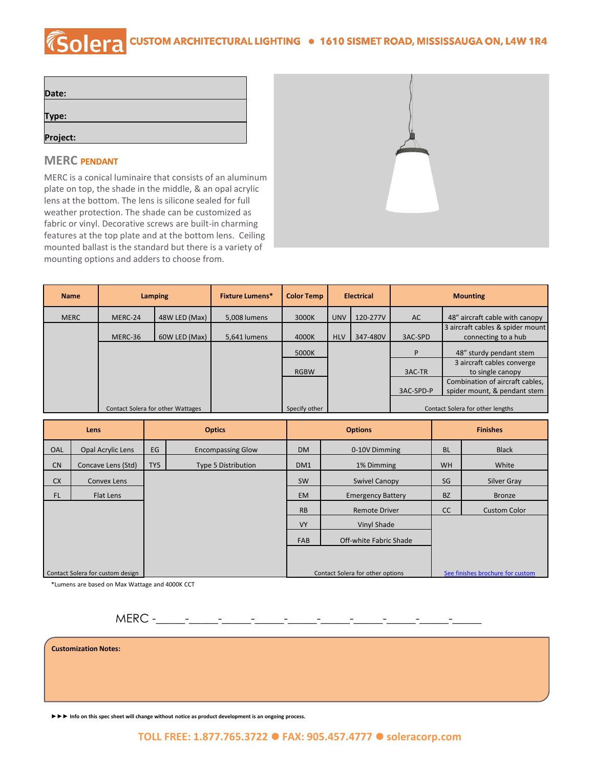## COCHA CUSTOM ARCHITECTURAL LIGHTING . 1610 SISMET ROAD, MISSISSAUGA ON, L4W 1R4

| Date:    |  |  |
|----------|--|--|
|          |  |  |
| Type:    |  |  |
|          |  |  |
| Project: |  |  |

## **MERC PENDANT**

MERC is a conical luminaire that consists of an aluminum plate on top, the shade in the middle, & an opal acrylic lens at the bottom. The lens is silicone sealed for full weather protection. The shade can be customized as fabric or vinyl. Decorative screws are built-in charming features at the top plate and at the bottom lens. Ceiling mounted ballast is the standard but there is a variety of mounting options and adders to choose from.



| <b>Name</b> |         | <b>Lamping</b>                    | <b>Fixture Lumens*</b> | <b>Color Temp</b> |            | <b>Electrical</b> | <b>Mounting</b> |                                                                 |
|-------------|---------|-----------------------------------|------------------------|-------------------|------------|-------------------|-----------------|-----------------------------------------------------------------|
| <b>MERC</b> | MERC-24 | 48W LED (Max)                     | 5,008 lumens           | 3000K             | <b>UNV</b> | 120-277V          | AC.             | 48" aircraft cable with canopy                                  |
|             | MERC-36 | 60W LED (Max)                     | 5,641 lumens           | 4000K             | <b>HLV</b> | 347-480V          | 3AC-SPD         | 3 aircraft cables & spider mount<br>connecting to a hub         |
|             |         |                                   |                        | 5000K             |            |                   | P               | 48" sturdy pendant stem                                         |
|             |         |                                   |                        | <b>RGBW</b>       |            |                   | 3AC-TR          | 3 aircraft cables converge<br>to single canopy                  |
|             |         |                                   |                        |                   |            |                   | 3AC-SPD-P       | Combination of aircraft cables,<br>spider mount, & pendant stem |
|             |         | Contact Solera for other Wattages |                        | Specify other     |            |                   |                 | Contact Solera for other lengths                                |

|           | Lens                             |     | <b>Optics</b>              | <b>Options</b>  |                                  | <b>Finishes</b> |                                  |
|-----------|----------------------------------|-----|----------------------------|-----------------|----------------------------------|-----------------|----------------------------------|
| OAL       | <b>Opal Acrylic Lens</b>         | EG  | <b>Encompassing Glow</b>   | <b>DM</b>       | 0-10V Dimming                    |                 | <b>Black</b>                     |
| <b>CN</b> | Concave Lens (Std)               | TY5 | <b>Type 5 Distribution</b> | DM <sub>1</sub> | 1% Dimming                       | <b>WH</b>       | White                            |
| <b>CX</b> | Convex Lens                      |     |                            | <b>SW</b>       | <b>Swivel Canopy</b>             | SG              | Silver Gray                      |
| <b>FL</b> | Flat Lens                        |     |                            | <b>EM</b>       | <b>Emergency Battery</b>         | <b>BZ</b>       | <b>Bronze</b>                    |
|           |                                  |     |                            | <b>RB</b>       | <b>Remote Driver</b>             | <sub>CC</sub>   | <b>Custom Color</b>              |
|           |                                  |     |                            | <b>VY</b>       | Vinyl Shade                      |                 |                                  |
|           |                                  |     |                            | <b>FAB</b>      | Off-white Fabric Shade           |                 |                                  |
|           |                                  |     |                            |                 |                                  |                 |                                  |
|           | Contact Solera for custom design |     |                            |                 | Contact Solera for other options |                 | See finishes brochure for custom |

\*Lumens are based on Max Wattage and 4000K CCT

MERC -\_\_\_\_\_-\_\_\_\_\_-\_\_\_\_\_-\_\_\_\_\_-\_\_\_\_\_-\_\_\_\_\_-\_\_\_\_\_-\_\_\_\_\_-\_\_\_\_\_-\_\_\_\_\_

**Customization Notes:**

**►►► Info on this spec sheet will change without notice as product development is an ongoing process.**